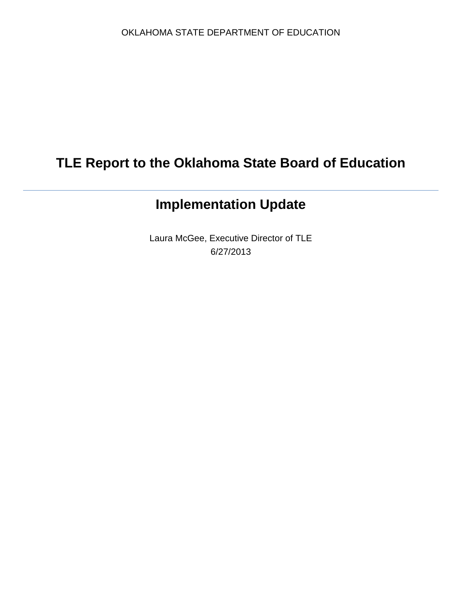# **TLE Report to the Oklahoma State Board of Education**

# **Implementation Update**

Laura McGee, Executive Director of TLE 6/27/2013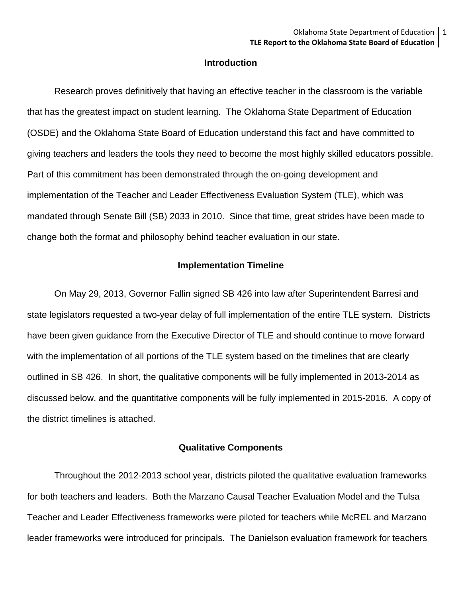### **Introduction**

Research proves definitively that having an effective teacher in the classroom is the variable that has the greatest impact on student learning. The Oklahoma State Department of Education (OSDE) and the Oklahoma State Board of Education understand this fact and have committed to giving teachers and leaders the tools they need to become the most highly skilled educators possible. Part of this commitment has been demonstrated through the on-going development and implementation of the Teacher and Leader Effectiveness Evaluation System (TLE), which was mandated through Senate Bill (SB) 2033 in 2010. Since that time, great strides have been made to change both the format and philosophy behind teacher evaluation in our state.

#### **Implementation Timeline**

On May 29, 2013, Governor Fallin signed SB 426 into law after Superintendent Barresi and state legislators requested a two-year delay of full implementation of the entire TLE system. Districts have been given guidance from the Executive Director of TLE and should continue to move forward with the implementation of all portions of the TLE system based on the timelines that are clearly outlined in SB 426. In short, the qualitative components will be fully implemented in 2013-2014 as discussed below, and the quantitative components will be fully implemented in 2015-2016. A copy of the district timelines is attached.

#### **Qualitative Components**

Throughout the 2012-2013 school year, districts piloted the qualitative evaluation frameworks for both teachers and leaders. Both the Marzano Causal Teacher Evaluation Model and the Tulsa Teacher and Leader Effectiveness frameworks were piloted for teachers while McREL and Marzano leader frameworks were introduced for principals. The Danielson evaluation framework for teachers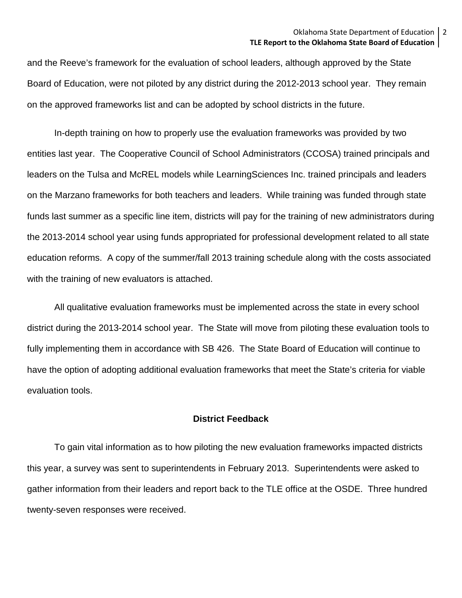and the Reeve's framework for the evaluation of school leaders, although approved by the State Board of Education, were not piloted by any district during the 2012-2013 school year. They remain on the approved frameworks list and can be adopted by school districts in the future.

In-depth training on how to properly use the evaluation frameworks was provided by two entities last year. The Cooperative Council of School Administrators (CCOSA) trained principals and leaders on the Tulsa and McREL models while LearningSciences Inc. trained principals and leaders on the Marzano frameworks for both teachers and leaders. While training was funded through state funds last summer as a specific line item, districts will pay for the training of new administrators during the 2013-2014 school year using funds appropriated for professional development related to all state education reforms. A copy of the summer/fall 2013 training schedule along with the costs associated with the training of new evaluators is attached.

All qualitative evaluation frameworks must be implemented across the state in every school district during the 2013-2014 school year. The State will move from piloting these evaluation tools to fully implementing them in accordance with SB 426. The State Board of Education will continue to have the option of adopting additional evaluation frameworks that meet the State's criteria for viable evaluation tools.

### **District Feedback**

To gain vital information as to how piloting the new evaluation frameworks impacted districts this year, a survey was sent to superintendents in February 2013. Superintendents were asked to gather information from their leaders and report back to the TLE office at the OSDE. Three hundred twenty-seven responses were received.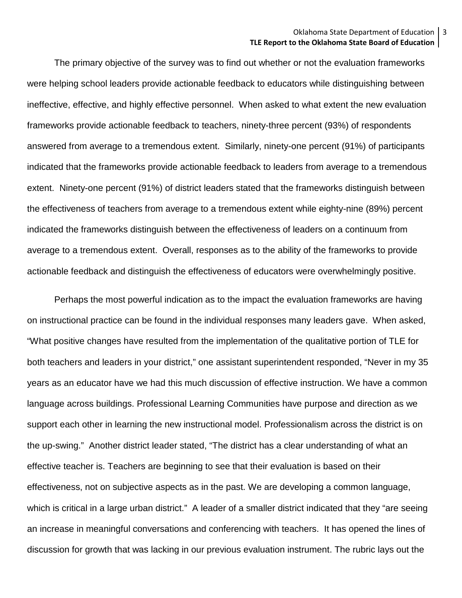The primary objective of the survey was to find out whether or not the evaluation frameworks were helping school leaders provide actionable feedback to educators while distinguishing between ineffective, effective, and highly effective personnel. When asked to what extent the new evaluation frameworks provide actionable feedback to teachers, ninety-three percent (93%) of respondents answered from average to a tremendous extent. Similarly, ninety-one percent (91%) of participants indicated that the frameworks provide actionable feedback to leaders from average to a tremendous extent. Ninety-one percent (91%) of district leaders stated that the frameworks distinguish between the effectiveness of teachers from average to a tremendous extent while eighty-nine (89%) percent indicated the frameworks distinguish between the effectiveness of leaders on a continuum from average to a tremendous extent. Overall, responses as to the ability of the frameworks to provide actionable feedback and distinguish the effectiveness of educators were overwhelmingly positive.

Perhaps the most powerful indication as to the impact the evaluation frameworks are having on instructional practice can be found in the individual responses many leaders gave. When asked, "What positive changes have resulted from the implementation of the qualitative portion of TLE for both teachers and leaders in your district," one assistant superintendent responded, "Never in my 35 years as an educator have we had this much discussion of effective instruction. We have a common language across buildings. Professional Learning Communities have purpose and direction as we support each other in learning the new instructional model. Professionalism across the district is on the up-swing." Another district leader stated, "The district has a clear understanding of what an effective teacher is. Teachers are beginning to see that their evaluation is based on their effectiveness, not on subjective aspects as in the past. We are developing a common language, which is critical in a large urban district." A leader of a smaller district indicated that they "are seeing an increase in meaningful conversations and conferencing with teachers. It has opened the lines of discussion for growth that was lacking in our previous evaluation instrument. The rubric lays out the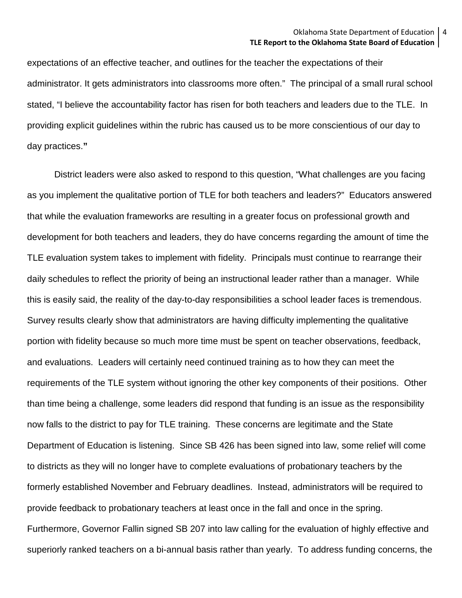expectations of an effective teacher, and outlines for the teacher the expectations of their administrator. It gets administrators into classrooms more often." The principal of a small rural school stated, "I believe the accountability factor has risen for both teachers and leaders due to the TLE. In providing explicit guidelines within the rubric has caused us to be more conscientious of our day to day practices.**"**

District leaders were also asked to respond to this question, "What challenges are you facing as you implement the qualitative portion of TLE for both teachers and leaders?" Educators answered that while the evaluation frameworks are resulting in a greater focus on professional growth and development for both teachers and leaders, they do have concerns regarding the amount of time the TLE evaluation system takes to implement with fidelity. Principals must continue to rearrange their daily schedules to reflect the priority of being an instructional leader rather than a manager. While this is easily said, the reality of the day-to-day responsibilities a school leader faces is tremendous. Survey results clearly show that administrators are having difficulty implementing the qualitative portion with fidelity because so much more time must be spent on teacher observations, feedback, and evaluations. Leaders will certainly need continued training as to how they can meet the requirements of the TLE system without ignoring the other key components of their positions. Other than time being a challenge, some leaders did respond that funding is an issue as the responsibility now falls to the district to pay for TLE training. These concerns are legitimate and the State Department of Education is listening. Since SB 426 has been signed into law, some relief will come to districts as they will no longer have to complete evaluations of probationary teachers by the formerly established November and February deadlines. Instead, administrators will be required to provide feedback to probationary teachers at least once in the fall and once in the spring. Furthermore, Governor Fallin signed SB 207 into law calling for the evaluation of highly effective and superiorly ranked teachers on a bi-annual basis rather than yearly. To address funding concerns, the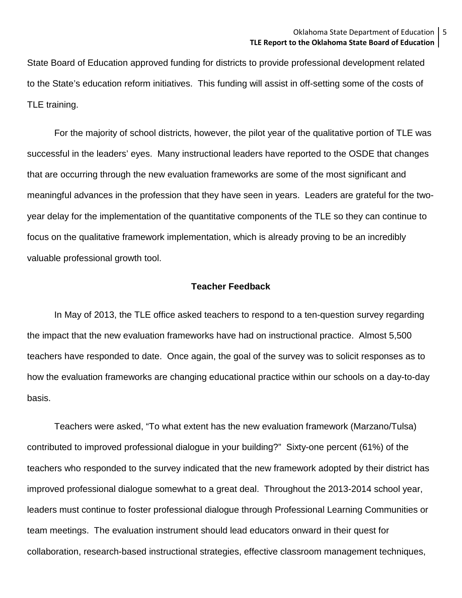State Board of Education approved funding for districts to provide professional development related to the State's education reform initiatives. This funding will assist in off-setting some of the costs of TLE training.

For the majority of school districts, however, the pilot year of the qualitative portion of TLE was successful in the leaders' eyes. Many instructional leaders have reported to the OSDE that changes that are occurring through the new evaluation frameworks are some of the most significant and meaningful advances in the profession that they have seen in years. Leaders are grateful for the twoyear delay for the implementation of the quantitative components of the TLE so they can continue to focus on the qualitative framework implementation, which is already proving to be an incredibly valuable professional growth tool.

#### **Teacher Feedback**

In May of 2013, the TLE office asked teachers to respond to a ten-question survey regarding the impact that the new evaluation frameworks have had on instructional practice. Almost 5,500 teachers have responded to date. Once again, the goal of the survey was to solicit responses as to how the evaluation frameworks are changing educational practice within our schools on a day-to-day basis.

Teachers were asked, "To what extent has the new evaluation framework (Marzano/Tulsa) contributed to improved professional dialogue in your building?" Sixty-one percent (61%) of the teachers who responded to the survey indicated that the new framework adopted by their district has improved professional dialogue somewhat to a great deal. Throughout the 2013-2014 school year, leaders must continue to foster professional dialogue through Professional Learning Communities or team meetings. The evaluation instrument should lead educators onward in their quest for collaboration, research-based instructional strategies, effective classroom management techniques,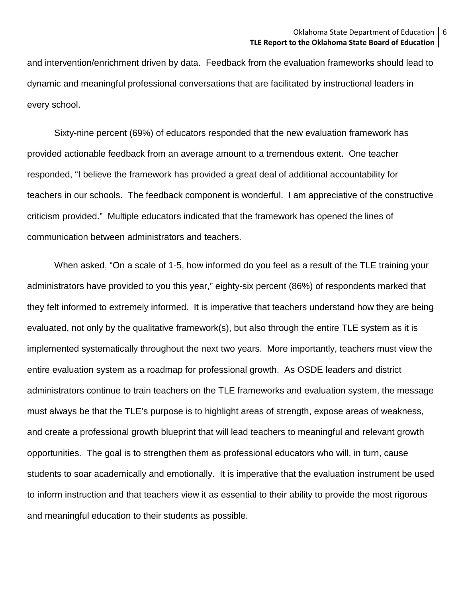and intervention/enrichment driven by data. Feedback from the evaluation frameworks should lead to dynamic and meaningful professional conversations that are facilitated by instructional leaders in every school.

Sixty-nine percent (69%) of educators responded that the new evaluation framework has provided actionable feedback from an average amount to a tremendous extent. One teacher responded, "I believe the framework has provided a great deal of additional accountability for teachers in our schools. The feedback component is wonderful. I am appreciative of the constructive criticism provided." Multiple educators indicated that the framework has opened the lines of communication between administrators and teachers.

When asked, "On a scale of 1-5, how informed do you feel as a result of the TLE training your administrators have provided to you this year," eighty-six percent (86%) of respondents marked that they felt informed to extremely informed. It is imperative that teachers understand how they are being evaluated, not only by the qualitative framework(s), but also through the entire TLE system as it is implemented systematically throughout the next two years. More importantly, teachers must view the entire evaluation system as a roadmap for professional growth. As OSDE leaders and district administrators continue to train teachers on the TLE frameworks and evaluation system, the message must always be that the TLE's purpose is to highlight areas of strength, expose areas of weakness, and create a professional growth blueprint that will lead teachers to meaningful and relevant growth opportunities. The goal is to strengthen them as professional educators who will, in turn, cause students to soar academically and emotionally. It is imperative that the evaluation instrument be used to inform instruction and that teachers view it as essential to their ability to provide the most rigorous and meaningful education to their students as possible.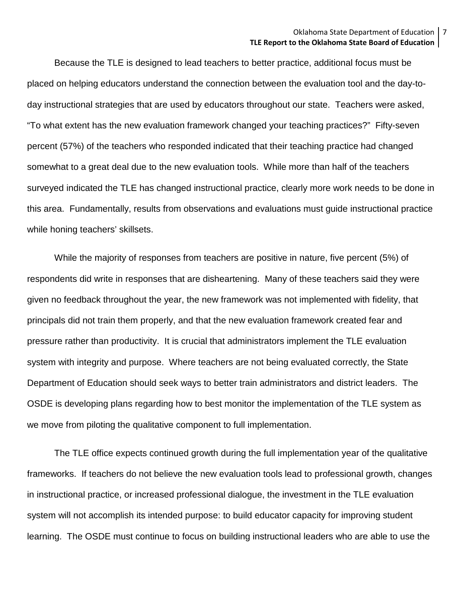Because the TLE is designed to lead teachers to better practice, additional focus must be placed on helping educators understand the connection between the evaluation tool and the day-today instructional strategies that are used by educators throughout our state. Teachers were asked, "To what extent has the new evaluation framework changed your teaching practices?" Fifty-seven percent (57%) of the teachers who responded indicated that their teaching practice had changed somewhat to a great deal due to the new evaluation tools. While more than half of the teachers surveyed indicated the TLE has changed instructional practice, clearly more work needs to be done in this area. Fundamentally, results from observations and evaluations must guide instructional practice while honing teachers' skillsets.

While the majority of responses from teachers are positive in nature, five percent (5%) of respondents did write in responses that are disheartening. Many of these teachers said they were given no feedback throughout the year, the new framework was not implemented with fidelity, that principals did not train them properly, and that the new evaluation framework created fear and pressure rather than productivity. It is crucial that administrators implement the TLE evaluation system with integrity and purpose. Where teachers are not being evaluated correctly, the State Department of Education should seek ways to better train administrators and district leaders. The OSDE is developing plans regarding how to best monitor the implementation of the TLE system as we move from piloting the qualitative component to full implementation.

The TLE office expects continued growth during the full implementation year of the qualitative frameworks. If teachers do not believe the new evaluation tools lead to professional growth, changes in instructional practice, or increased professional dialogue, the investment in the TLE evaluation system will not accomplish its intended purpose: to build educator capacity for improving student learning. The OSDE must continue to focus on building instructional leaders who are able to use the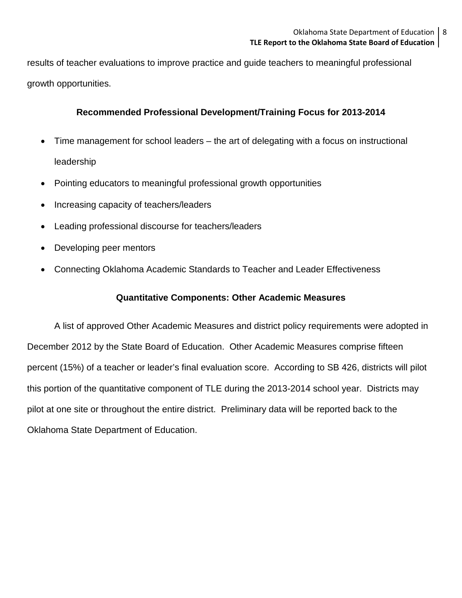results of teacher evaluations to improve practice and guide teachers to meaningful professional growth opportunities.

## **Recommended Professional Development/Training Focus for 2013-2014**

- Time management for school leaders the art of delegating with a focus on instructional leadership
- Pointing educators to meaningful professional growth opportunities
- Increasing capacity of teachers/leaders
- Leading professional discourse for teachers/leaders
- Developing peer mentors
- Connecting Oklahoma Academic Standards to Teacher and Leader Effectiveness

## **Quantitative Components: Other Academic Measures**

A list of approved Other Academic Measures and district policy requirements were adopted in December 2012 by the State Board of Education. Other Academic Measures comprise fifteen percent (15%) of a teacher or leader's final evaluation score. According to SB 426, districts will pilot this portion of the quantitative component of TLE during the 2013-2014 school year. Districts may pilot at one site or throughout the entire district. Preliminary data will be reported back to the Oklahoma State Department of Education.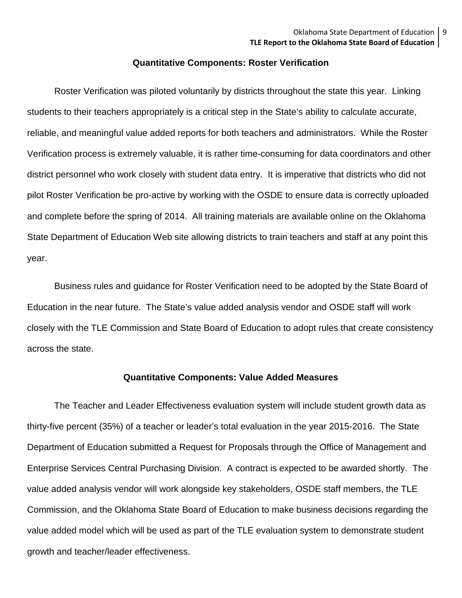#### **Quantitative Components: Roster Verification**

Roster Verification was piloted voluntarily by districts throughout the state this year. Linking students to their teachers appropriately is a critical step in the State's ability to calculate accurate, reliable, and meaningful value added reports for both teachers and administrators. While the Roster Verification process is extremely valuable, it is rather time-consuming for data coordinators and other district personnel who work closely with student data entry. It is imperative that districts who did not pilot Roster Verification be pro-active by working with the OSDE to ensure data is correctly uploaded and complete before the spring of 2014. All training materials are available online on the Oklahoma State Department of Education Web site allowing districts to train teachers and staff at any point this year.

Business rules and guidance for Roster Verification need to be adopted by the State Board of Education in the near future. The State's value added analysis vendor and OSDE staff will work closely with the TLE Commission and State Board of Education to adopt rules that create consistency across the state.

### **Quantitative Components: Value Added Measures**

The Teacher and Leader Effectiveness evaluation system will include student growth data as thirty-five percent (35%) of a teacher or leader's total evaluation in the year 2015-2016. The State Department of Education submitted a Request for Proposals through the Office of Management and Enterprise Services Central Purchasing Division. A contract is expected to be awarded shortly. The value added analysis vendor will work alongside key stakeholders, OSDE staff members, the TLE Commission, and the Oklahoma State Board of Education to make business decisions regarding the value added model which will be used as part of the TLE evaluation system to demonstrate student growth and teacher/leader effectiveness.